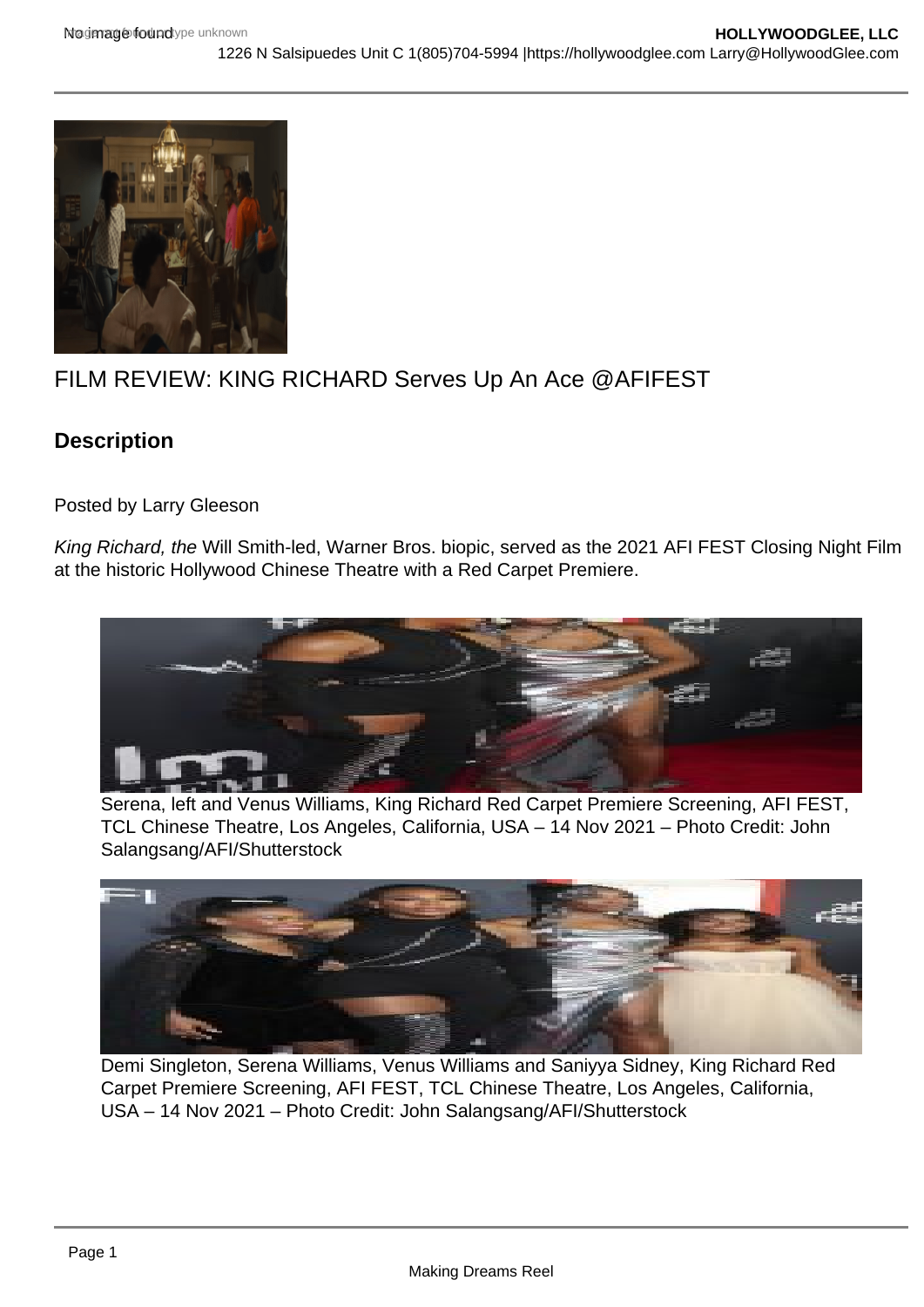## FILM REVIEW: KING RICHARD Serves Up An Ace @AFIFEST

## **Description**

Posted by Larry Gleeson

King Richard, the Will Smith-led, Warner Bros. biopic, served as the 2021 AFI FEST Closing Night Film at the historic Hollywood Chinese Theatre with a Red Carpet Premiere.

Serena, left and Venus Williams, King Richard Red Carpet Premiere Screening, AFI FEST, TCL Chinese Theatre, Los Angeles, California, USA – 14 Nov 2021 – Photo Credit: John Salangsang/AFI/Shutterstock

Demi Singleton, Serena Williams, Venus Williams and Saniyya Sidney, King Richard Red Carpet Premiere Screening, AFI FEST, TCL Chinese Theatre, Los Angeles, California, USA – 14 Nov 2021 – Photo Credit: John Salangsang/AFI/Shutterstock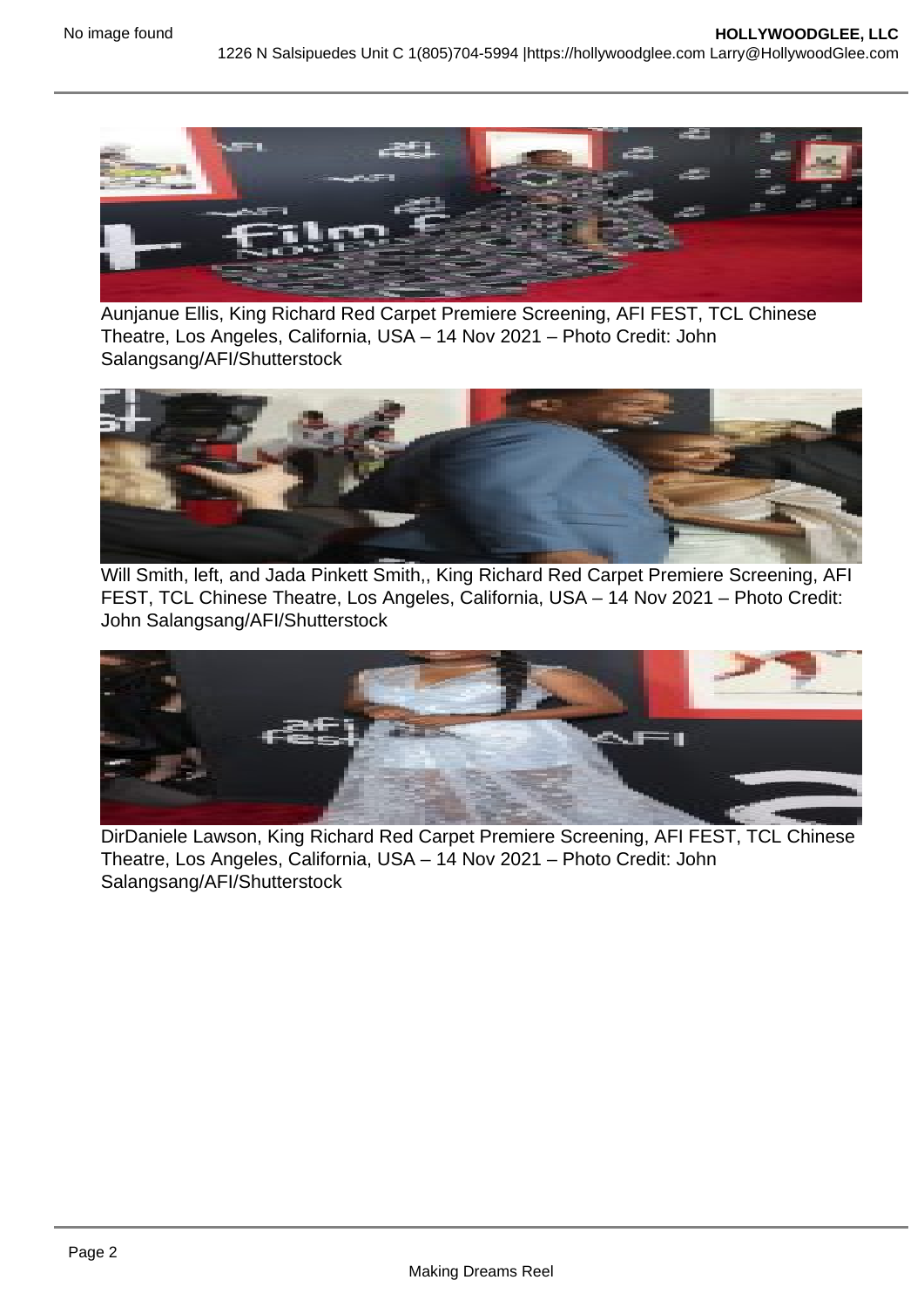Aunjanue Ellis, King Richard Red Carpet Premiere Screening, AFI FEST, TCL Chinese Theatre, Los Angeles, California, USA – 14 Nov 2021 – Photo Credit: John Salangsang/AFI/Shutterstock

Will Smith, left, and Jada Pinkett Smith,, King Richard Red Carpet Premiere Screening, AFI FEST, TCL Chinese Theatre, Los Angeles, California, USA – 14 Nov 2021 – Photo Credit: John Salangsang/AFI/Shutterstock

DirDaniele Lawson, King Richard Red Carpet Premiere Screening, AFI FEST, TCL Chinese Theatre, Los Angeles, California, USA – 14 Nov 2021 – Photo Credit: John Salangsang/AFI/Shutterstock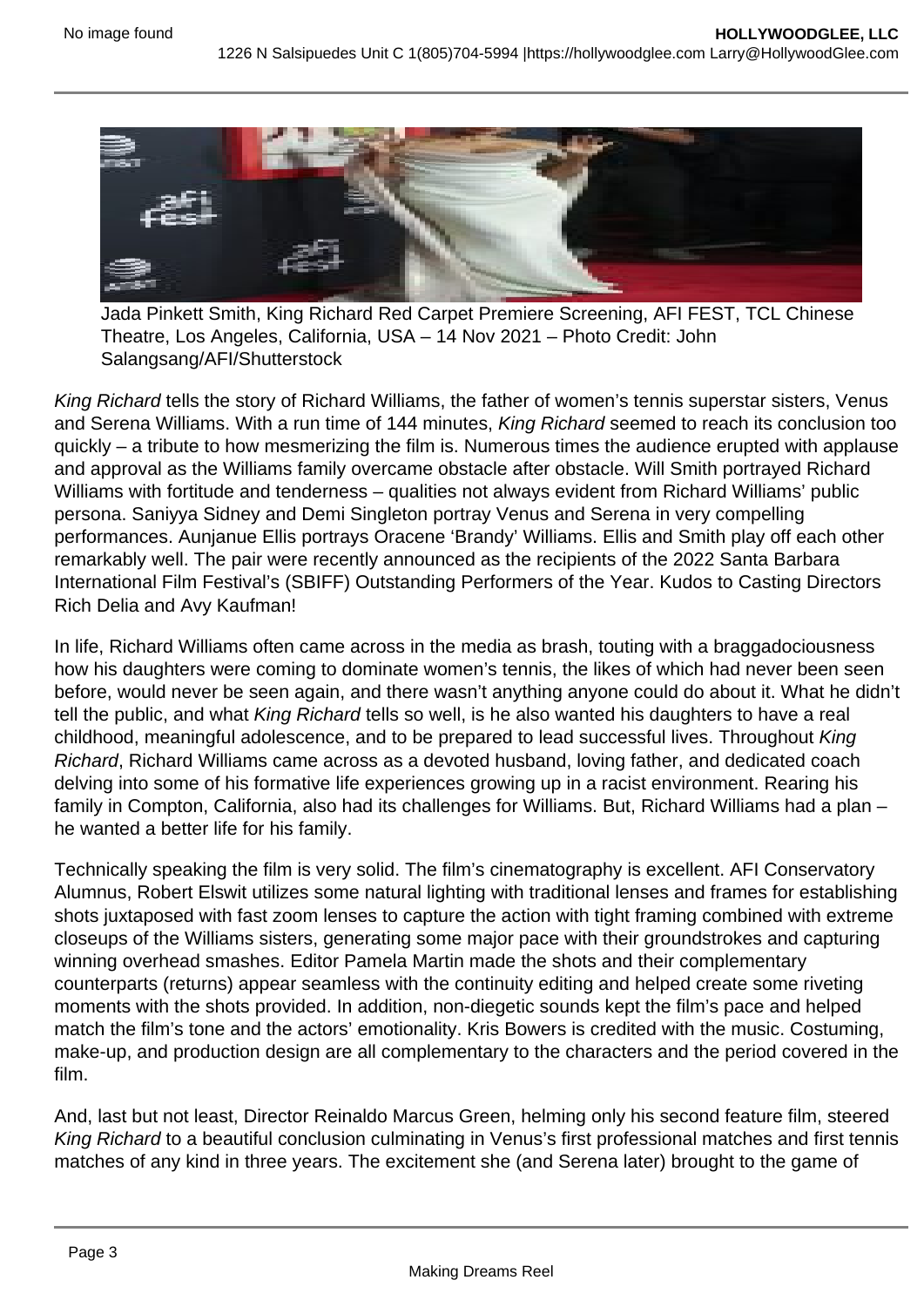Jada Pinkett Smith, King Richard Red Carpet Premiere Screening, AFI FEST, TCL Chinese Theatre, Los Angeles, California, USA – 14 Nov 2021 – Photo Credit: John Salangsang/AFI/Shutterstock

King Richard tells the story of Richard Williams, the father of women's tennis superstar sisters, Venus and Serena Williams. With a run time of 144 minutes, King Richard seemed to reach its conclusion too quickly – a tribute to how mesmerizing the film is. Numerous times the audience erupted with applause and approval as the Williams family overcame obstacle after obstacle. Will Smith portrayed Richard Williams with fortitude and tenderness – qualities not always evident from Richard Williams' public persona. Saniyya Sidney and Demi Singleton portray Venus and Serena in very compelling performances. Aunjanue Ellis portrays Oracene 'Brandy' Williams. Ellis and Smith play off each other remarkably well. The pair were recently announced as the recipients of the 2022 Santa Barbara International Film Festival's (SBIFF) Outstanding Performers of the Year. Kudos to Casting Directors Rich Delia and Avy Kaufman!

In life, Richard Williams often came across in the media as brash, touting with a braggadociousness how his daughters were coming to dominate women's tennis, the likes of which had never been seen before, would never be seen again, and there wasn't anything anyone could do about it. What he didn't tell the public, and what King Richard tells so well, is he also wanted his daughters to have a real childhood, meaningful adolescence, and to be prepared to lead successful lives. Throughout King Richard, Richard Williams came across as a devoted husband, loving father, and dedicated coach delving into some of his formative life experiences growing up in a racist environment. Rearing his family in Compton, California, also had its challenges for Williams. But, Richard Williams had a plan – he wanted a better life for his family.

Technically speaking the film is very solid. The film's cinematography is excellent. AFI Conservatory Alumnus, Robert Elswit utilizes some natural lighting with traditional lenses and frames for establishing shots juxtaposed with fast zoom lenses to capture the action with tight framing combined with extreme closeups of the Williams sisters, generating some major pace with their groundstrokes and capturing winning overhead smashes. Editor Pamela Martin made the shots and their complementary counterparts (returns) appear seamless with the continuity editing and helped create some riveting moments with the shots provided. In addition, non-diegetic sounds kept the film's pace and helped match the film's tone and the actors' emotionality. Kris Bowers is credited with the music. Costuming, make-up, and production design are all complementary to the characters and the period covered in the film.

And, last but not least, Director Reinaldo Marcus Green, helming only his second feature film, steered King Richard to a beautiful conclusion culminating in Venus's first professional matches and first tennis matches of any kind in three years. The excitement she (and Serena later) brought to the game of